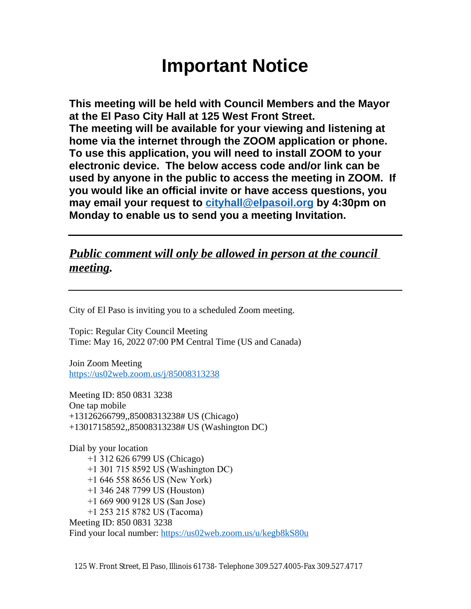# **Important Notice**

**This meeting will be held with Council Members and the Mayor at the El Paso City Hall at 125 West Front Street. The meeting will be available for your viewing and listening at home via the internet through the ZOOM application or phone. To use this application, you will need to install ZOOM to your electronic device. The below access code and/or link can be used by anyone in the public to access the meeting in ZOOM. If you would like an official invite or have access questions, you may email your request to [cityhall@elpasoil.org](mailto:cityhall@elpasoil.org) by 4:30pm on Monday to enable us to send you a meeting Invitation.**

# *Public comment will only be allowed in person at the council meeting.*

City of El Paso is inviting you to a scheduled Zoom meeting.

Topic: Regular City Council Meeting Time: May 16, 2022 07:00 PM Central Time (US and Canada)

Join Zoom Meeting <https://us02web.zoom.us/j/85008313238>

Meeting ID: 850 0831 3238 One tap mobile +13126266799,,85008313238# US (Chicago) +13017158592,,85008313238# US (Washington DC)

Dial by your location +1 312 626 6799 US (Chicago) +1 301 715 8592 US (Washington DC) +1 646 558 8656 US (New York) +1 346 248 7799 US (Houston) +1 669 900 9128 US (San Jose) +1 253 215 8782 US (Tacoma) Meeting ID: 850 0831 3238 Find your local number:<https://us02web.zoom.us/u/kegb8kS80u>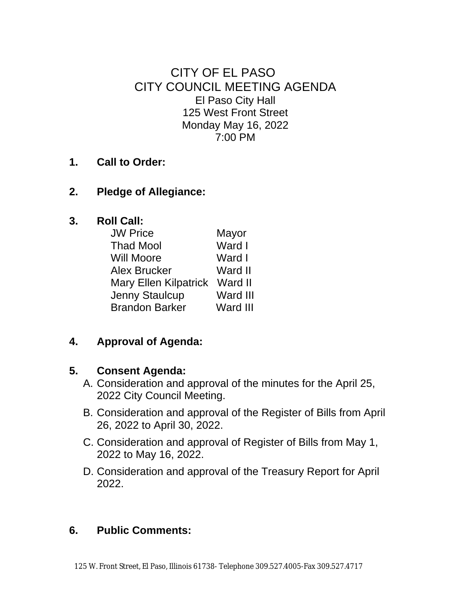CITY OF EL PASO CITY COUNCIL MEETING AGENDA El Paso City Hall 125 West Front Street Monday May 16, 2022 7:00 PM

## **1. Call to Order:**

## **2. Pledge of Allegiance:**

## **3. Roll Call:**

| <b>JW Price</b>              | Mayor    |
|------------------------------|----------|
| <b>Thad Mool</b>             | Ward I   |
| <b>Will Moore</b>            | Ward I   |
| <b>Alex Brucker</b>          | Ward II  |
| <b>Mary Ellen Kilpatrick</b> | Ward II  |
| <b>Jenny Staulcup</b>        | Ward III |
| <b>Brandon Barker</b>        | Ward III |

# **4. Approval of Agenda:**

#### **5. Consent Agenda:**

- A. Consideration and approval of the minutes for the April 25, 2022 City Council Meeting.
- B. Consideration and approval of the Register of Bills from April 26, 2022 to April 30, 2022.
- C. Consideration and approval of Register of Bills from May 1, 2022 to May 16, 2022.
- D. Consideration and approval of the Treasury Report for April 2022.

# **6. Public Comments:**